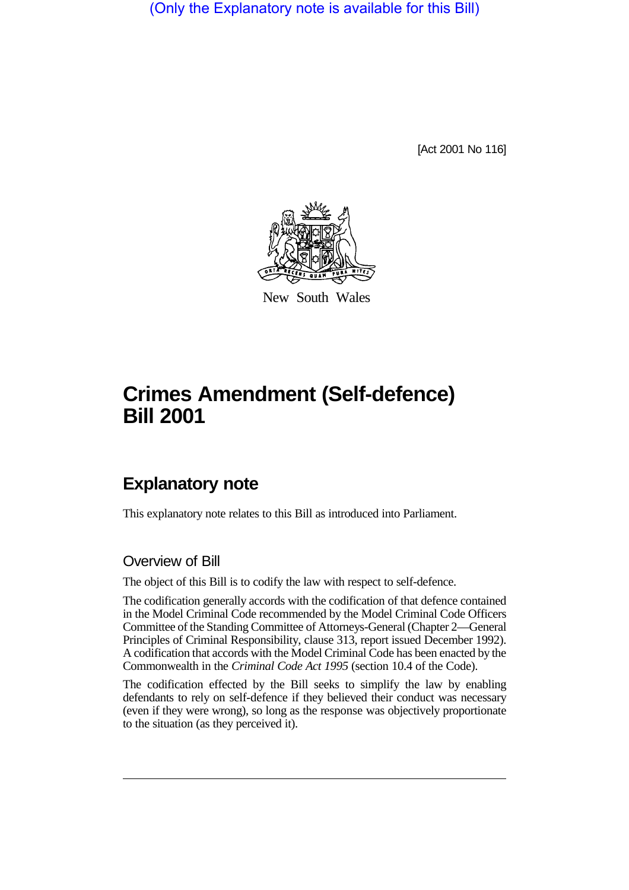(Only the Explanatory note is available for this Bill)

[Act 2001 No 116]



New South Wales

## **Crimes Amendment (Self-defence) Bill 2001**

## **Explanatory note**

This explanatory note relates to this Bill as introduced into Parliament.

## Overview of Bill

The object of this Bill is to codify the law with respect to self-defence.

The codification generally accords with the codification of that defence contained in the Model Criminal Code recommended by the Model Criminal Code Officers Committee of the Standing Committee of Attorneys-General (Chapter 2—General Principles of Criminal Responsibility, clause 313, report issued December 1992). A codification that accords with the Model Criminal Code has been enacted by the Commonwealth in the *Criminal Code Act 1995* (section 10.4 of the Code).

The codification effected by the Bill seeks to simplify the law by enabling defendants to rely on self-defence if they believed their conduct was necessary (even if they were wrong), so long as the response was objectively proportionate to the situation (as they perceived it).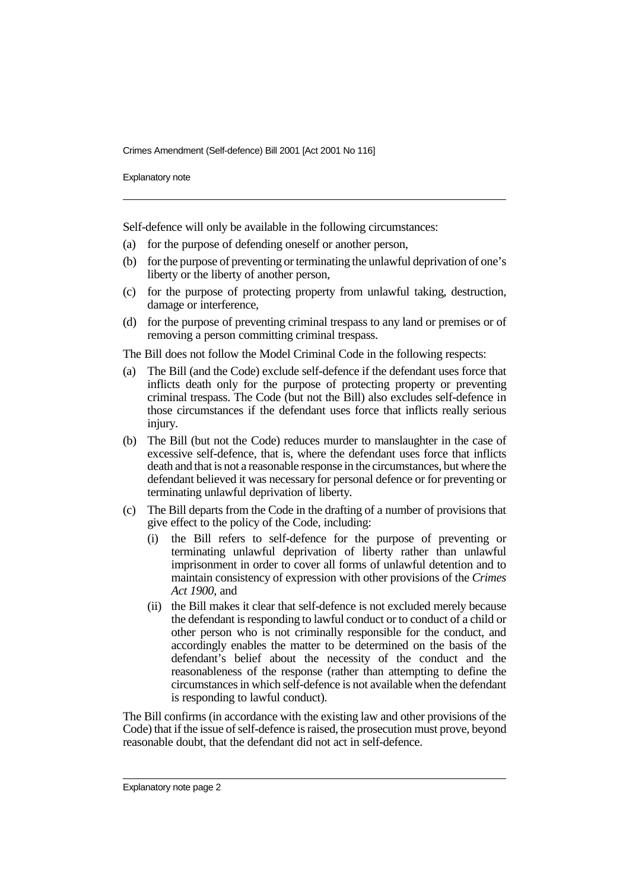Crimes Amendment (Self-defence) Bill 2001 [Act 2001 No 116]

Explanatory note

Self-defence will only be available in the following circumstances:

- (a) for the purpose of defending oneself or another person,
- (b) for the purpose of preventing or terminating the unlawful deprivation of one's liberty or the liberty of another person,
- (c) for the purpose of protecting property from unlawful taking, destruction, damage or interference,
- (d) for the purpose of preventing criminal trespass to any land or premises or of removing a person committing criminal trespass.

The Bill does not follow the Model Criminal Code in the following respects:

- (a) The Bill (and the Code) exclude self-defence if the defendant uses force that inflicts death only for the purpose of protecting property or preventing criminal trespass. The Code (but not the Bill) also excludes self-defence in those circumstances if the defendant uses force that inflicts really serious injury.
- (b) The Bill (but not the Code) reduces murder to manslaughter in the case of excessive self-defence, that is, where the defendant uses force that inflicts death and that is not a reasonable response in the circumstances, but where the defendant believed it was necessary for personal defence or for preventing or terminating unlawful deprivation of liberty.
- (c) The Bill departs from the Code in the drafting of a number of provisions that give effect to the policy of the Code, including:
	- (i) the Bill refers to self-defence for the purpose of preventing or terminating unlawful deprivation of liberty rather than unlawful imprisonment in order to cover all forms of unlawful detention and to maintain consistency of expression with other provisions of the *Crimes Act 1900*, and
	- (ii) the Bill makes it clear that self-defence is not excluded merely because the defendant is responding to lawful conduct or to conduct of a child or other person who is not criminally responsible for the conduct, and accordingly enables the matter to be determined on the basis of the defendant's belief about the necessity of the conduct and the reasonableness of the response (rather than attempting to define the circumstances in which self-defence is not available when the defendant is responding to lawful conduct).

The Bill confirms (in accordance with the existing law and other provisions of the Code) that if the issue of self-defence is raised, the prosecution must prove, beyond reasonable doubt, that the defendant did not act in self-defence.